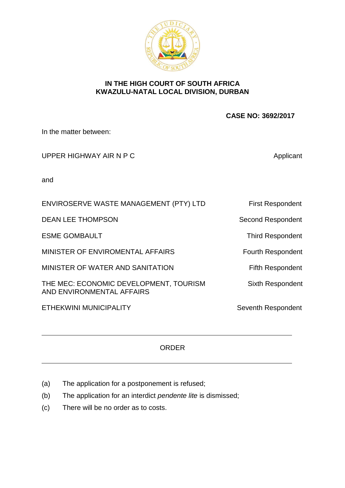

## **IN THE HIGH COURT OF SOUTH AFRICA KWAZULU-NATAL LOCAL DIVISION, DURBAN**

 **CASE NO: 3692/2017**

In the matter between:

UPPER HIGHWAY AIR N P C Applicant

and

| ENVIROSERVE WASTE MANAGEMENT (PTY) LTD                              | <b>First Respondent</b>  |
|---------------------------------------------------------------------|--------------------------|
| <b>DEAN LEE THOMPSON</b>                                            | <b>Second Respondent</b> |
| <b>ESME GOMBAULT</b>                                                | <b>Third Respondent</b>  |
| MINISTER OF ENVIROMENTAL AFFAIRS                                    | <b>Fourth Respondent</b> |
| MINISTER OF WATER AND SANITATION                                    | <b>Fifth Respondent</b>  |
| THE MEC: ECONOMIC DEVELOPMENT, TOURISM<br>AND ENVIRONMENTAL AFFAIRS | <b>Sixth Respondent</b>  |
| ETHEKWINI MUNICIPALITY                                              | Seventh Respondent       |

## ORDER

- (a) The application for a postponement is refused;
- (b) The application for an interdict *pendente lite* is dismissed;
- (c) There will be no order as to costs.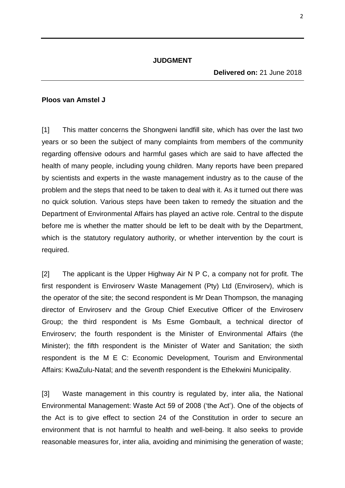## **Ploos van Amstel J**

[1] This matter concerns the Shongweni landfill site, which has over the last two years or so been the subject of many complaints from members of the community regarding offensive odours and harmful gases which are said to have affected the health of many people, including young children. Many reports have been prepared by scientists and experts in the waste management industry as to the cause of the problem and the steps that need to be taken to deal with it. As it turned out there was no quick solution. Various steps have been taken to remedy the situation and the Department of Environmental Affairs has played an active role. Central to the dispute before me is whether the matter should be left to be dealt with by the Department, which is the statutory regulatory authority, or whether intervention by the court is required.

[2] The applicant is the Upper Highway Air N P C, a company not for profit. The first respondent is Enviroserv Waste Management (Pty) Ltd (Enviroserv), which is the operator of the site; the second respondent is Mr Dean Thompson, the managing director of Enviroserv and the Group Chief Executive Officer of the Enviroserv Group; the third respondent is Ms Esme Gombault, a technical director of Enviroserv; the fourth respondent is the Minister of Environmental Affairs (the Minister); the fifth respondent is the Minister of Water and Sanitation; the sixth respondent is the M E C: Economic Development, Tourism and Environmental Affairs: KwaZulu-Natal; and the seventh respondent is the Ethekwini Municipality.

[3] Waste management in this country is regulated by, inter alia, the National Environmental Management: Waste Act 59 of 2008 ('the Act'). One of the objects of the Act is to give effect to section 24 of the Constitution in order to secure an environment that is not harmful to health and well-being. It also seeks to provide reasonable measures for, inter alia, avoiding and minimising the generation of waste;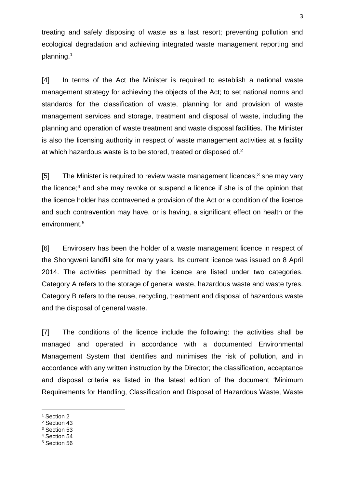treating and safely disposing of waste as a last resort; preventing pollution and ecological degradation and achieving integrated waste management reporting and planning.<sup>1</sup>

[4] In terms of the Act the Minister is required to establish a national waste management strategy for achieving the objects of the Act; to set national norms and standards for the classification of waste, planning for and provision of waste management services and storage, treatment and disposal of waste, including the planning and operation of waste treatment and waste disposal facilities. The Minister is also the licensing authority in respect of waste management activities at a facility at which hazardous waste is to be stored, treated or disposed of.<sup>2</sup>

[5] The Minister is required to review waste management licences; $3$  she may vary the licence:<sup>4</sup> and she may revoke or suspend a licence if she is of the opinion that the licence holder has contravened a provision of the Act or a condition of the licence and such contravention may have, or is having, a significant effect on health or the environment.<sup>5</sup>

[6] Enviroserv has been the holder of a waste management licence in respect of the Shongweni landfill site for many years. Its current licence was issued on 8 April 2014. The activities permitted by the licence are listed under two categories. Category A refers to the storage of general waste, hazardous waste and waste tyres. Category B refers to the reuse, recycling, treatment and disposal of hazardous waste and the disposal of general waste.

[7] The conditions of the licence include the following: the activities shall be managed and operated in accordance with a documented Environmental Management System that identifies and minimises the risk of pollution, and in accordance with any written instruction by the Director; the classification, acceptance and disposal criteria as listed in the latest edition of the document 'Minimum Requirements for Handling, Classification and Disposal of Hazardous Waste, Waste

1

<sup>2</sup> Section 43

<sup>4</sup> Section 54

<sup>&</sup>lt;sup>1</sup> Section 2

<sup>&</sup>lt;sup>3</sup> Section 53

<sup>5</sup> Section 56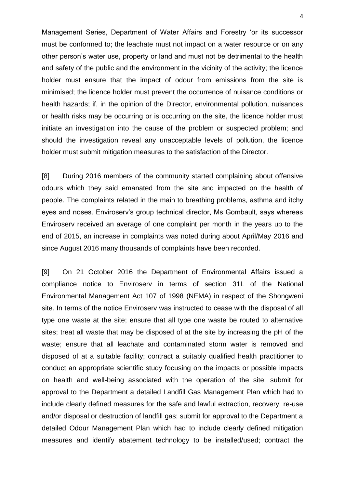Management Series, Department of Water Affairs and Forestry 'or its successor must be conformed to; the leachate must not impact on a water resource or on any other person's water use, property or land and must not be detrimental to the health and safety of the public and the environment in the vicinity of the activity; the licence holder must ensure that the impact of odour from emissions from the site is minimised; the licence holder must prevent the occurrence of nuisance conditions or health hazards; if, in the opinion of the Director, environmental pollution, nuisances or health risks may be occurring or is occurring on the site, the licence holder must initiate an investigation into the cause of the problem or suspected problem; and should the investigation reveal any unacceptable levels of pollution, the licence holder must submit mitigation measures to the satisfaction of the Director.

[8] During 2016 members of the community started complaining about offensive odours which they said emanated from the site and impacted on the health of people. The complaints related in the main to breathing problems, asthma and itchy eyes and noses. Enviroserv's group technical director, Ms Gombault, says whereas Enviroserv received an average of one complaint per month in the years up to the end of 2015, an increase in complaints was noted during about April/May 2016 and since August 2016 many thousands of complaints have been recorded.

[9] On 21 October 2016 the Department of Environmental Affairs issued a compliance notice to Enviroserv in terms of section 31L of the National Environmental Management Act 107 of 1998 (NEMA) in respect of the Shongweni site. In terms of the notice Enviroserv was instructed to cease with the disposal of all type one waste at the site; ensure that all type one waste be routed to alternative sites; treat all waste that may be disposed of at the site by increasing the pH of the waste; ensure that all leachate and contaminated storm water is removed and disposed of at a suitable facility; contract a suitably qualified health practitioner to conduct an appropriate scientific study focusing on the impacts or possible impacts on health and well-being associated with the operation of the site; submit for approval to the Department a detailed Landfill Gas Management Plan which had to include clearly defined measures for the safe and lawful extraction, recovery, re-use and/or disposal or destruction of landfill gas; submit for approval to the Department a detailed Odour Management Plan which had to include clearly defined mitigation measures and identify abatement technology to be installed/used; contract the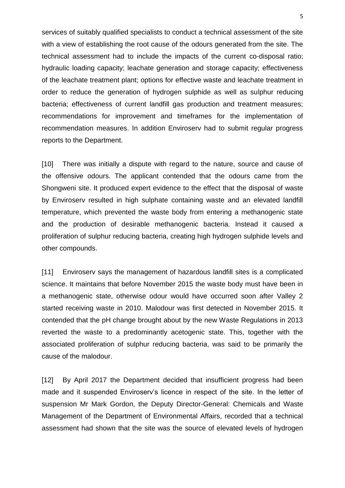services of suitably qualified specialists to conduct a technical assessment of the site with a view of establishing the root cause of the odours generated from the site. The technical assessment had to include the impacts of the current co-disposal ratio; hydraulic loading capacity; leachate generation and storage capacity; effectiveness of the leachate treatment plant; options for effective waste and leachate treatment in order to reduce the generation of hydrogen sulphide as well as sulphur reducing bacteria; effectiveness of current landfill gas production and treatment measures; recommendations for improvement and timeframes for the implementation of recommendation measures. In addition Enviroserv had to submit regular progress reports to the Department.

[10] There was initially a dispute with regard to the nature, source and cause of the offensive odours. The applicant contended that the odours came from the Shongweni site. It produced expert evidence to the effect that the disposal of waste by Enviroserv resulted in high sulphate containing waste and an elevated landfill temperature, which prevented the waste body from entering a methanogenic state and the production of desirable methanogenic bacteria. Instead it caused a proliferation of sulphur reducing bacteria, creating high hydrogen sulphide levels and other compounds.

[11] Enviroserv says the management of hazardous landfill sites is a complicated science. It maintains that before November 2015 the waste body must have been in a methanogenic state, otherwise odour would have occurred soon after Valley 2 started receiving waste in 2010. Malodour was first detected in November 2015. It contended that the pH change brought about by the new Waste Regulations in 2013 reverted the waste to a predominantly acetogenic state. This, together with the associated proliferation of sulphur reducing bacteria, was said to be primarily the cause of the malodour.

[12] By April 2017 the Department decided that insufficient progress had been made and it suspended Enviroserv's licence in respect of the site. In the letter of suspension Mr Mark Gordon, the Deputy Director-General: Chemicals and Waste Management of the Department of Environmental Affairs, recorded that a technical assessment had shown that the site was the source of elevated levels of hydrogen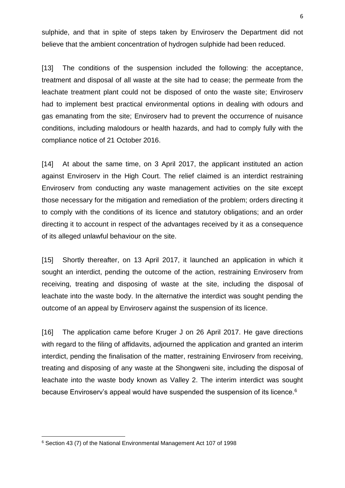sulphide, and that in spite of steps taken by Enviroserv the Department did not believe that the ambient concentration of hydrogen sulphide had been reduced.

[13] The conditions of the suspension included the following: the acceptance, treatment and disposal of all waste at the site had to cease; the permeate from the leachate treatment plant could not be disposed of onto the waste site; Enviroserv had to implement best practical environmental options in dealing with odours and gas emanating from the site; Enviroserv had to prevent the occurrence of nuisance conditions, including malodours or health hazards, and had to comply fully with the compliance notice of 21 October 2016.

[14] At about the same time, on 3 April 2017, the applicant instituted an action against Enviroserv in the High Court. The relief claimed is an interdict restraining Enviroserv from conducting any waste management activities on the site except those necessary for the mitigation and remediation of the problem; orders directing it to comply with the conditions of its licence and statutory obligations; and an order directing it to account in respect of the advantages received by it as a consequence of its alleged unlawful behaviour on the site.

[15] Shortly thereafter, on 13 April 2017, it launched an application in which it sought an interdict, pending the outcome of the action, restraining Enviroserv from receiving, treating and disposing of waste at the site, including the disposal of leachate into the waste body. In the alternative the interdict was sought pending the outcome of an appeal by Enviroserv against the suspension of its licence.

[16] The application came before Kruger J on 26 April 2017. He gave directions with regard to the filing of affidavits, adjourned the application and granted an interim interdict, pending the finalisation of the matter, restraining Enviroserv from receiving, treating and disposing of any waste at the Shongweni site, including the disposal of leachate into the waste body known as Valley 2. The interim interdict was sought because Envirosery's appeal would have suspended the suspension of its licence.<sup>6</sup>

**.** 

<sup>6</sup> Section 43 (7) of the National Environmental Management Act 107 of 1998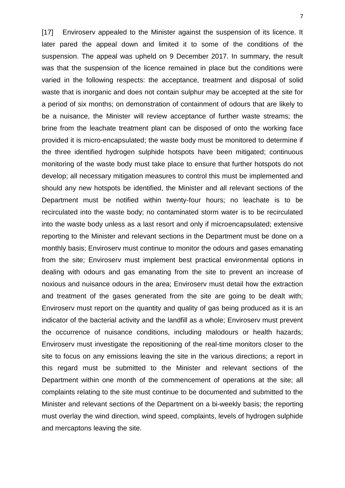[17] Enviroserv appealed to the Minister against the suspension of its licence. It later pared the appeal down and limited it to some of the conditions of the suspension. The appeal was upheld on 9 December 2017. In summary, the result was that the suspension of the licence remained in place but the conditions were varied in the following respects: the acceptance, treatment and disposal of solid waste that is inorganic and does not contain sulphur may be accepted at the site for a period of six months; on demonstration of containment of odours that are likely to be a nuisance, the Minister will review acceptance of further waste streams; the brine from the leachate treatment plant can be disposed of onto the working face provided it is micro-encapsulated; the waste body must be monitored to determine if the three identified hydrogen sulphide hotspots have been mitigated; continuous monitoring of the waste body must take place to ensure that further hotspots do not develop; all necessary mitigation measures to control this must be implemented and should any new hotspots be identified, the Minister and all relevant sections of the Department must be notified within twenty-four hours; no leachate is to be recirculated into the waste body; no contaminated storm water is to be recirculated into the waste body unless as a last resort and only if microencapsulated; extensive reporting to the Minister and relevant sections in the Department must be done on a monthly basis; Enviroserv must continue to monitor the odours and gases emanating from the site; Enviroserv must implement best practical environmental options in dealing with odours and gas emanating from the site to prevent an increase of noxious and nuisance odours in the area; Enviroserv must detail how the extraction and treatment of the gases generated from the site are going to be dealt with; Enviroserv must report on the quantity and quality of gas being produced as it is an indicator of the bacterial activity and the landfill as a whole; Enviroserv must prevent the occurrence of nuisance conditions, including malodours or health hazards; Enviroserv must investigate the repositioning of the real-time monitors closer to the site to focus on any emissions leaving the site in the various directions; a report in this regard must be submitted to the Minister and relevant sections of the Department within one month of the commencement of operations at the site; all complaints relating to the site must continue to be documented and submitted to the Minister and relevant sections of the Department on a bi-weekly basis; the reporting must overlay the wind direction, wind speed, complaints, levels of hydrogen sulphide and mercaptons leaving the site.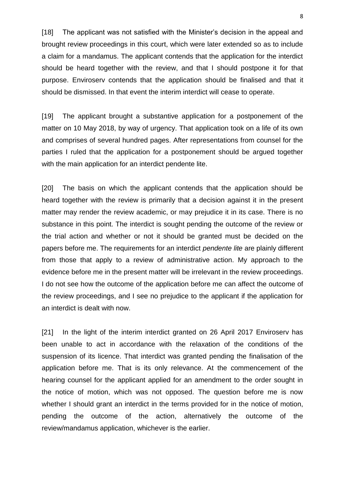[18] The applicant was not satisfied with the Minister's decision in the appeal and brought review proceedings in this court, which were later extended so as to include a claim for a mandamus. The applicant contends that the application for the interdict should be heard together with the review, and that I should postpone it for that purpose. Enviroserv contends that the application should be finalised and that it should be dismissed. In that event the interim interdict will cease to operate.

[19] The applicant brought a substantive application for a postponement of the matter on 10 May 2018, by way of urgency. That application took on a life of its own and comprises of several hundred pages. After representations from counsel for the parties I ruled that the application for a postponement should be argued together with the main application for an interdict pendente lite.

[20] The basis on which the applicant contends that the application should be heard together with the review is primarily that a decision against it in the present matter may render the review academic, or may prejudice it in its case. There is no substance in this point. The interdict is sought pending the outcome of the review or the trial action and whether or not it should be granted must be decided on the papers before me. The requirements for an interdict *pendente lite* are plainly different from those that apply to a review of administrative action. My approach to the evidence before me in the present matter will be irrelevant in the review proceedings. I do not see how the outcome of the application before me can affect the outcome of the review proceedings, and I see no prejudice to the applicant if the application for an interdict is dealt with now.

[21] In the light of the interim interdict granted on 26 April 2017 Enviroserv has been unable to act in accordance with the relaxation of the conditions of the suspension of its licence. That interdict was granted pending the finalisation of the application before me. That is its only relevance. At the commencement of the hearing counsel for the applicant applied for an amendment to the order sought in the notice of motion, which was not opposed. The question before me is now whether I should grant an interdict in the terms provided for in the notice of motion, pending the outcome of the action, alternatively the outcome of the review/mandamus application, whichever is the earlier.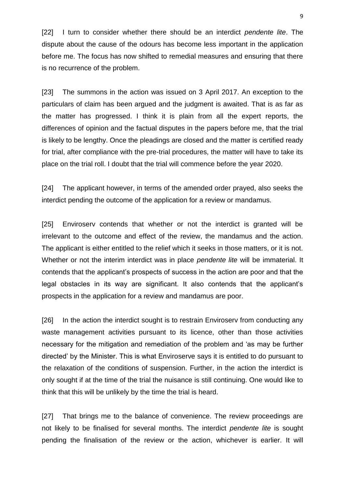[22] I turn to consider whether there should be an interdict *pendente lite*. The dispute about the cause of the odours has become less important in the application before me. The focus has now shifted to remedial measures and ensuring that there is no recurrence of the problem.

[23] The summons in the action was issued on 3 April 2017. An exception to the particulars of claim has been argued and the judgment is awaited. That is as far as the matter has progressed. I think it is plain from all the expert reports, the differences of opinion and the factual disputes in the papers before me, that the trial is likely to be lengthy. Once the pleadings are closed and the matter is certified ready for trial, after compliance with the pre-trial procedures, the matter will have to take its place on the trial roll. I doubt that the trial will commence before the year 2020.

[24] The applicant however, in terms of the amended order prayed, also seeks the interdict pending the outcome of the application for a review or mandamus.

[25] Envirosery contends that whether or not the interdict is granted will be irrelevant to the outcome and effect of the review, the mandamus and the action. The applicant is either entitled to the relief which it seeks in those matters, or it is not. Whether or not the interim interdict was in place *pendente lite* will be immaterial. It contends that the applicant's prospects of success in the action are poor and that the legal obstacles in its way are significant. It also contends that the applicant's prospects in the application for a review and mandamus are poor.

[26] In the action the interdict sought is to restrain Envirosery from conducting any waste management activities pursuant to its licence, other than those activities necessary for the mitigation and remediation of the problem and 'as may be further directed' by the Minister. This is what Enviroserve says it is entitled to do pursuant to the relaxation of the conditions of suspension. Further, in the action the interdict is only sought if at the time of the trial the nuisance is still continuing. One would like to think that this will be unlikely by the time the trial is heard.

[27] That brings me to the balance of convenience. The review proceedings are not likely to be finalised for several months. The interdict *pendente lite* is sought pending the finalisation of the review or the action, whichever is earlier. It will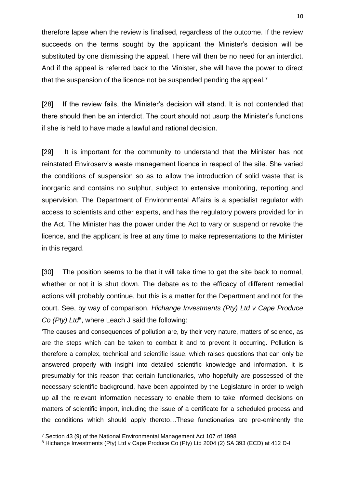therefore lapse when the review is finalised, regardless of the outcome. If the review succeeds on the terms sought by the applicant the Minister's decision will be substituted by one dismissing the appeal. There will then be no need for an interdict. And if the appeal is referred back to the Minister, she will have the power to direct that the suspension of the licence not be suspended pending the appeal.<sup>7</sup>

[28] If the review fails, the Minister's decision will stand. It is not contended that there should then be an interdict. The court should not usurp the Minister's functions if she is held to have made a lawful and rational decision.

[29] It is important for the community to understand that the Minister has not reinstated Enviroserv's waste management licence in respect of the site. She varied the conditions of suspension so as to allow the introduction of solid waste that is inorganic and contains no sulphur, subject to extensive monitoring, reporting and supervision. The Department of Environmental Affairs is a specialist regulator with access to scientists and other experts, and has the regulatory powers provided for in the Act. The Minister has the power under the Act to vary or suspend or revoke the licence, and the applicant is free at any time to make representations to the Minister in this regard.

[30] The position seems to be that it will take time to get the site back to normal, whether or not it is shut down. The debate as to the efficacy of different remedial actions will probably continue, but this is a matter for the Department and not for the court. See, by way of comparison, *Hichange Investments (Pty) Ltd v Cape Produce Co (Pty) Ltd*<sup>8</sup> , where Leach J said the following:

'The causes and consequences of pollution are, by their very nature, matters of science, as are the steps which can be taken to combat it and to prevent it occurring. Pollution is therefore a complex, technical and scientific issue, which raises questions that can only be answered properly with insight into detailed scientific knowledge and information. It is presumably for this reason that certain functionaries, who hopefully are possessed of the necessary scientific background, have been appointed by the Legislature in order to weigh up all the relevant information necessary to enable them to take informed decisions on matters of scientific import, including the issue of a certificate for a scheduled process and the conditions which should apply thereto…These functionaries are pre-eminently the

1

<sup>7</sup> Section 43 (9) of the National Environmental Management Act 107 of 1998

<sup>8</sup> Hichange Investments (Pty) Ltd v Cape Produce Co (Pty) Ltd 2004 (2) SA 393 (ECD) at 412 D-I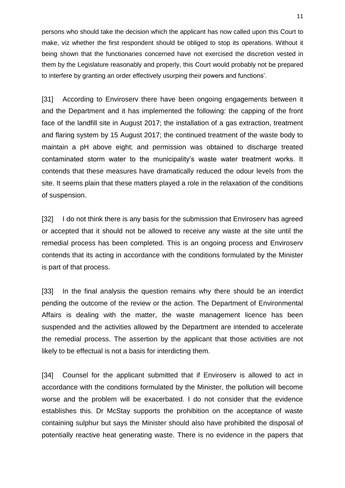persons who should take the decision which the applicant has now called upon this Court to make, viz whether the first respondent should be obliged to stop its operations. Without it being shown that the functionaries concerned have not exercised the discretion vested in them by the Legislature reasonably and properly, this Court would probably not be prepared to interfere by granting an order effectively usurping their powers and functions'.

[31] According to Enviroserv there have been ongoing engagements between it and the Department and it has implemented the following: the capping of the front face of the landfill site in August 2017; the installation of a gas extraction, treatment and flaring system by 15 August 2017; the continued treatment of the waste body to maintain a pH above eight; and permission was obtained to discharge treated contaminated storm water to the municipality's waste water treatment works. It contends that these measures have dramatically reduced the odour levels from the site. It seems plain that these matters played a role in the relaxation of the conditions of suspension.

[32] I do not think there is any basis for the submission that Enviroserv has agreed or accepted that it should not be allowed to receive any waste at the site until the remedial process has been completed. This is an ongoing process and Enviroserv contends that its acting in accordance with the conditions formulated by the Minister is part of that process.

[33] In the final analysis the question remains why there should be an interdict pending the outcome of the review or the action. The Department of Environmental Affairs is dealing with the matter, the waste management licence has been suspended and the activities allowed by the Department are intended to accelerate the remedial process. The assertion by the applicant that those activities are not likely to be effectual is not a basis for interdicting them.

[34] Counsel for the applicant submitted that if Enviroserv is allowed to act in accordance with the conditions formulated by the Minister, the pollution will become worse and the problem will be exacerbated. I do not consider that the evidence establishes this. Dr McStay supports the prohibition on the acceptance of waste containing sulphur but says the Minister should also have prohibited the disposal of potentially reactive heat generating waste. There is no evidence in the papers that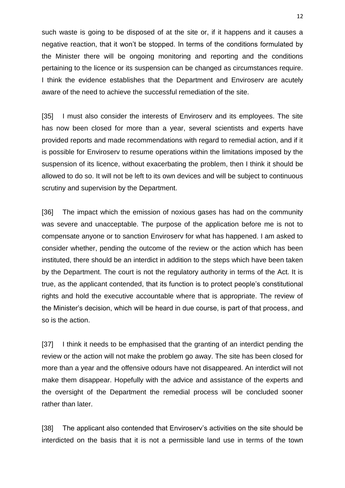such waste is going to be disposed of at the site or, if it happens and it causes a negative reaction, that it won't be stopped. In terms of the conditions formulated by the Minister there will be ongoing monitoring and reporting and the conditions pertaining to the licence or its suspension can be changed as circumstances require. I think the evidence establishes that the Department and Enviroserv are acutely aware of the need to achieve the successful remediation of the site.

[35] I must also consider the interests of Enviroserv and its employees. The site has now been closed for more than a year, several scientists and experts have provided reports and made recommendations with regard to remedial action, and if it is possible for Enviroserv to resume operations within the limitations imposed by the suspension of its licence, without exacerbating the problem, then I think it should be allowed to do so. It will not be left to its own devices and will be subject to continuous scrutiny and supervision by the Department.

[36] The impact which the emission of noxious gases has had on the community was severe and unacceptable. The purpose of the application before me is not to compensate anyone or to sanction Enviroserv for what has happened. I am asked to consider whether, pending the outcome of the review or the action which has been instituted, there should be an interdict in addition to the steps which have been taken by the Department. The court is not the regulatory authority in terms of the Act. It is true, as the applicant contended, that its function is to protect people's constitutional rights and hold the executive accountable where that is appropriate. The review of the Minister's decision, which will be heard in due course, is part of that process, and so is the action.

[37] I think it needs to be emphasised that the granting of an interdict pending the review or the action will not make the problem go away. The site has been closed for more than a year and the offensive odours have not disappeared. An interdict will not make them disappear. Hopefully with the advice and assistance of the experts and the oversight of the Department the remedial process will be concluded sooner rather than later.

[38] The applicant also contended that Enviroserv's activities on the site should be interdicted on the basis that it is not a permissible land use in terms of the town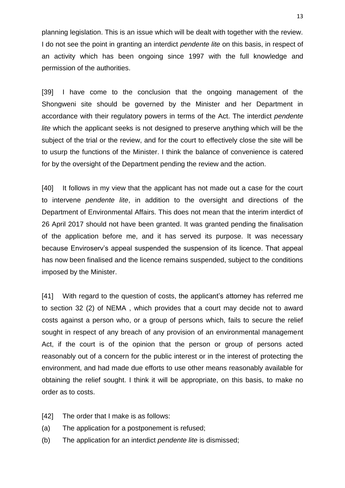planning legislation. This is an issue which will be dealt with together with the review. I do not see the point in granting an interdict *pendente lite* on this basis, in respect of an activity which has been ongoing since 1997 with the full knowledge and permission of the authorities.

[39] I have come to the conclusion that the ongoing management of the Shongweni site should be governed by the Minister and her Department in accordance with their regulatory powers in terms of the Act. The interdict *pendente lite* which the applicant seeks is not designed to preserve anything which will be the subject of the trial or the review, and for the court to effectively close the site will be to usurp the functions of the Minister. I think the balance of convenience is catered for by the oversight of the Department pending the review and the action.

[40] It follows in my view that the applicant has not made out a case for the court to intervene *pendente lite*, in addition to the oversight and directions of the Department of Environmental Affairs. This does not mean that the interim interdict of 26 April 2017 should not have been granted. It was granted pending the finalisation of the application before me, and it has served its purpose. It was necessary because Enviroserv's appeal suspended the suspension of its licence. That appeal has now been finalised and the licence remains suspended, subject to the conditions imposed by the Minister.

[41] With regard to the question of costs, the applicant's attorney has referred me to section 32 (2) of NEMA , which provides that a court may decide not to award costs against a person who, or a group of persons which, fails to secure the relief sought in respect of any breach of any provision of an environmental management Act, if the court is of the opinion that the person or group of persons acted reasonably out of a concern for the public interest or in the interest of protecting the environment, and had made due efforts to use other means reasonably available for obtaining the relief sought. I think it will be appropriate, on this basis, to make no order as to costs.

- [42] The order that I make is as follows:
- (a) The application for a postponement is refused;
- (b) The application for an interdict *pendente lite* is dismissed;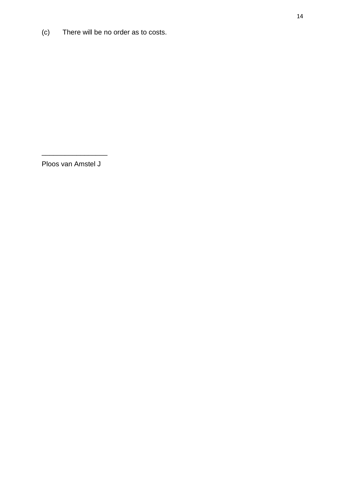(c) There will be no order as to costs.

Ploos van Amstel J

\_\_\_\_\_\_\_\_\_\_\_\_\_\_\_\_\_